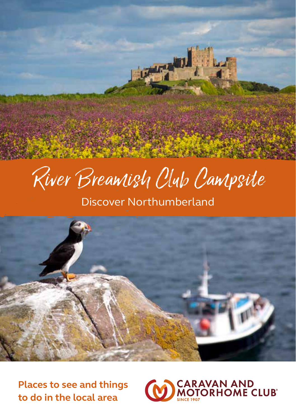

# River Breamish Club Campsite

## Discover Northumberland



**Places to see and things to do in the local area**

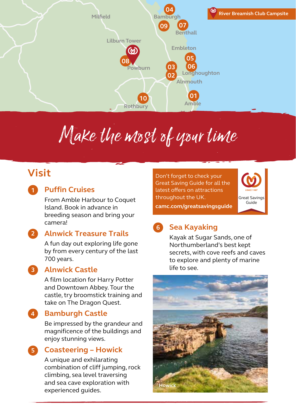

# Make the most of your time

## **Visit**

**1**

**4**

### **Puffin Cruises**

From Amble Harbour to Coquet Island. Book in advance in breeding season and bring your camera!

#### **Alnwick Treasure Trails 2**

A fun day out exploring life gone by from every century of the last 700 years.

#### **3**

**Alnwick Castle**

A film location for Harry Potter and Downtown Abbey. Tour the castle, try broomstick training and take on The Dragon Quest.

#### **Bamburgh Castle**

Be impressed by the grandeur and magnificence of the buildings and enjoy stunning views.

#### **Coasteering – Howick 5**

A unique and exhilarating combination of cliff jumping, rock climbing, sea level traversing and sea cave exploration with experienced guides.

Don't forget to check your Great Saving Guide for all the latest offers on attractions throughout the UK.

**Hadston**



**camc.com/greatsavingsguide**

### **Sea Kayaking 6**

Kayak at Sugar Sands, one of Northumberland's best kept secrets, with cove reefs and caves to explore and plenty of marine life to see.

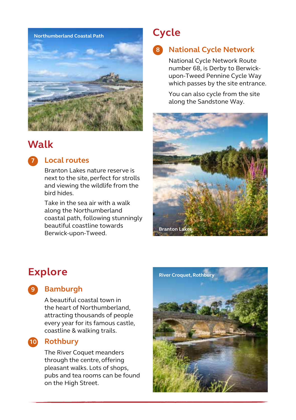

## **Walk**



#### **Local routes**

Branton Lakes nature reserve is next to the site, perfect for strolls and viewing the wildlife from the bird hides.

Take in the sea air with a walk along the Northumberland coastal path, following stunningly beautiful coastline towards Berwick-upon-Tweed.

## **Cycle**

## **National Cycle Network 8**

National Cycle Network Route number 68, is Derby to Berwickupon-Tweed Pennine Cycle Way which passes by the site entrance.

You can also cycle from the site along the Sandstone Way.



## **Explore**

**Bamburgh 9**

> A beautiful coastal town in the heart of Northumberland, attracting thousands of people every year for its famous castle, coastline & walking trails.

#### 10 Rothbury

The River Coquet meanders through the centre, offering pleasant walks. Lots of shops, pubs and tea rooms can be found on the High Street.